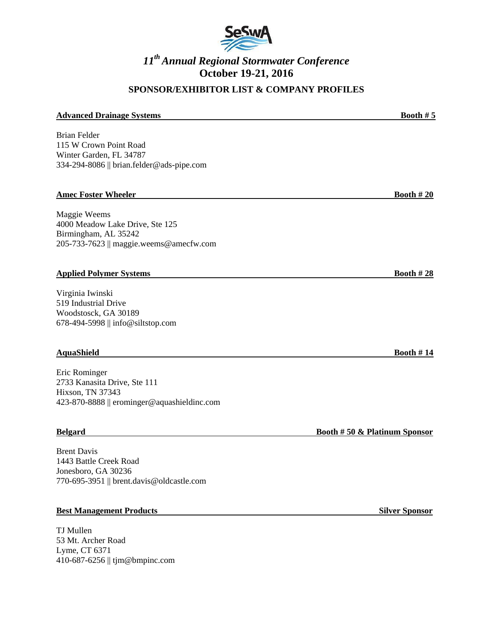

## **SPONSOR/EXHIBITOR LIST & COMPANY PROFILES**

#### **Advanced Drainage Systems Booth # 5**

Brian Felder 115 W Crown Point Road Winter Garden, FL 34787 334-294-8086 || brian.felder@ads-pipe.com

#### **Amec Foster Wheeler <b>Booth # 20**

Maggie Weems 4000 Meadow Lake Drive, Ste 125 Birmingham, AL 35242 205-733-7623 || maggie.weems@amecfw.com

#### **Applied Polymer Systems Booth # 28**

Virginia Iwinski 519 Industrial Drive Woodstosck, GA 30189 678-494-5998 || info@siltstop.com

#### **AquaShield Booth # 14**

Eric Rominger 2733 Kanasita Drive, Ste 111 Hixson, TN 37343 423-870-8888 || erominger@aquashieldinc.com

Brent Davis 1443 Battle Creek Road Jonesboro, GA 30236 770-695-3951 || brent.davis@oldcastle.com

#### **Best Management Products** Silver Sponsor **Silver Sponsor**

TJ Mullen 53 Mt. Archer Road Lyme, CT 6371 410-687-6256 || tjm@bmpinc.com

**Belgard Booth # 50 & Platinum Sponsor**

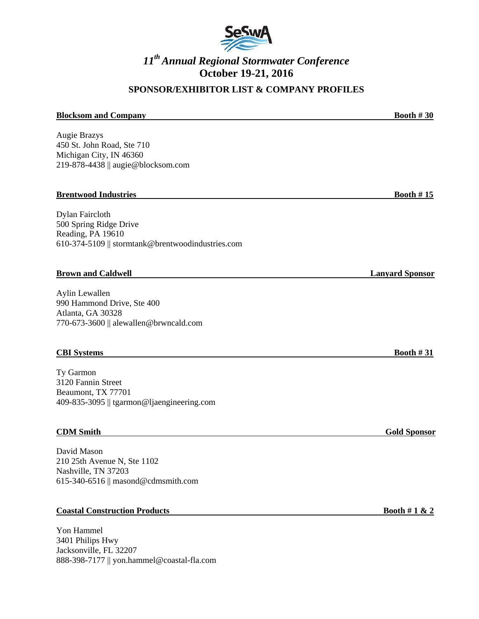

## **SPONSOR/EXHIBITOR LIST & COMPANY PROFILES**

# **Blocksom and Company Booth # 30** Augie Brazys 450 St. John Road, Ste 710 Michigan City, IN 46360 219-878-4438 || augie@blocksom.com **Brentwood Industries Booth # 15** Dylan Faircloth 500 Spring Ridge Drive Reading, PA 19610 610-374-5109 || stormtank@brentwoodindustries.com **Brown and Caldwell Lanyard Sponsor Caldwell** Aylin Lewallen

990 Hammond Drive, Ste 400 Atlanta, GA 30328 770-673-3600 || alewallen@brwncald.com

### **CBI Systems Booth # 31**

Ty Garmon 3120 Fannin Street Beaumont, TX 77701 409-835-3095 || tgarmon@ljaengineering.com

### **CDM Smith Gold Sponsor**

David Mason 210 25th Avenue N, Ste 1102 Nashville, TN 37203 615-340-6516 || masond@cdmsmith.com

### **Coastal Construction Products Booth # 1 & 2**

Yon Hammel 3401 Philips Hwy Jacksonville, FL 32207 888-398-7177 || yon.hammel@coastal-fla.com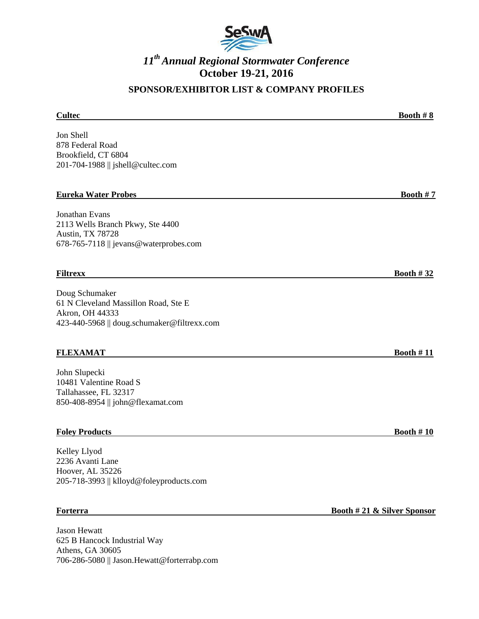

## **SPONSOR/EXHIBITOR LIST & COMPANY PROFILES**

# **Cultec Booth # 8** Jon Shell 878 Federal Road Brookfield, CT 6804 201-704-1988 || jshell@cultec.com **Eureka Water Probes Booth # 7** Jonathan Evans 2113 Wells Branch Pkwy, Ste 4400 Austin, TX 78728 678-765-7118 || jevans@waterprobes.com **Filtrexx Booth # 32** Doug Schumaker 61 N Cleveland Massillon Road, Ste E Akron, OH 44333 423-440-5968 || doug.schumaker@filtrexx.com **FLEXAMAT Booth # 11** John Slupecki 10481 Valentine Road S Tallahassee, FL 32317

**Foley Products Booth # 10**

Kelley Llyod 2236 Avanti Lane Hoover, AL 35226 205-718-3993 || klloyd@foleyproducts.com

850-408-8954 || john@flexamat.com

Jason Hewatt 625 B Hancock Industrial Way Athens, GA 30605 706-286-5080 || Jason.Hewatt@forterrabp.com

**Forterra Booth # 21 & Silver Sponsor**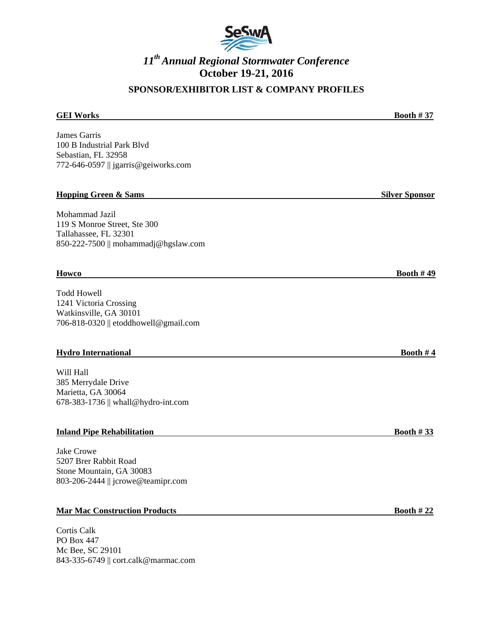

## **SPONSOR/EXHIBITOR LIST & COMPANY PROFILES**

# **GEI Works Booth # 37** James Garris 100 B Industrial Park Blvd Sebastian, FL 32958 772-646-0597 || jgarris@geiworks.com **Hopping Green & Sams Silver Sponsor Assumed Burguers and Silver Sponsor Silver Sponsor** Mohammad Jazil 119 S Monroe Street, Ste 300 Tallahassee, FL 32301 850-222-7500 || mohammadj@hgslaw.com **Howco Booth # 49** Todd Howell 1241 Victoria Crossing Watkinsville, GA 30101 706-818-0320 || etoddhowell@gmail.com **Hydro International Booth # 4** Will Hall 385 Merrydale Drive Marietta, GA 30064 678-383-1736 || whall@hydro-int.com

### **Inland Pipe Rehabilitation Booth # 33**

Jake Crowe 5207 Brer Rabbit Road Stone Mountain, GA 30083 803-206-2444 || jcrowe@teamipr.com

### **Mar Mac Construction Products Booth # 22**

Cortis Calk PO Box 447 Mc Bee, SC 29101 843-335-6749 || cort.calk@marmac.com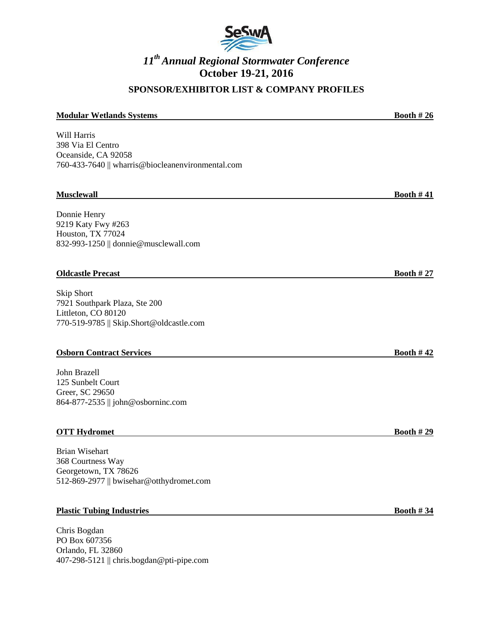

## **SPONSOR/EXHIBITOR LIST & COMPANY PROFILES**

#### **Modular Wetlands Systems Booth # 26**

Will Harris 398 Via El Centro Oceanside, CA 92058 760-433-7640 || wharris@biocleanenvironmental.com

#### **Musclewall Booth # 41**

Donnie Henry 9219 Katy Fwy #263 Houston, TX 77024 832-993-1250 || donnie@musclewall.com

#### **Oldcastle Precast Booth # 27**

Skip Short 7921 Southpark Plaza, Ste 200 Littleton, CO 80120 770-519-9785 || Skip.Short@oldcastle.com

#### **Osborn Contract Services Booth # 42**

John Brazell 125 Sunbelt Court Greer, SC 29650 864-877-2535 || john@osborninc.com

### **OTT Hydromet Booth # 29**

Brian Wisehart 368 Courtness Way Georgetown, TX 78626 512-869-2977 || bwisehar@otthydromet.com

### **Plastic Tubing Industries Booth # 34**

Chris Bogdan PO Box 607356 Orlando, FL 32860 407-298-5121 || chris.bogdan@pti-pipe.com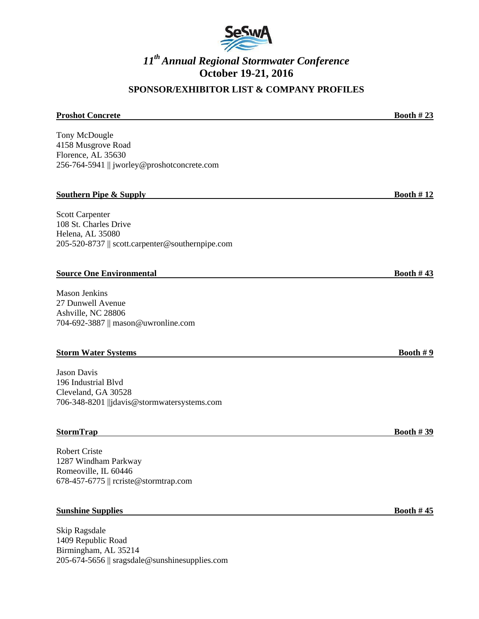

## **SPONSOR/EXHIBITOR LIST & COMPANY PROFILES**

# **Proshot Concrete Booth # 23** Tony McDougle 4158 Musgrove Road Florence, AL 35630 256-764-5941 || jworley@proshotconcrete.com **Southern Pipe & Supply Booth # 12** Scott Carpenter 108 St. Charles Drive Helena, AL 35080 205-520-8737 || scott.carpenter@southernpipe.com **Source One Environmental Booth # 43** Mason Jenkins 27 Dunwell Avenue Ashville, NC 28806 704-692-3887 || mason@uwronline.com **Storm Water Systems Booth # 9** Jason Davis 196 Industrial Blvd Cleveland, GA 30528 706-348-8201 ||jdavis@stormwatersystems.com

### **StormTrap Booth # 39**

Robert Criste 1287 Windham Parkway Romeoville, IL 60446 678-457-6775 || rcriste@stormtrap.com

#### **Sunshine Supplies Booth # 45**

Skip Ragsdale 1409 Republic Road Birmingham, AL 35214 205-674-5656 || sragsdale@sunshinesupplies.com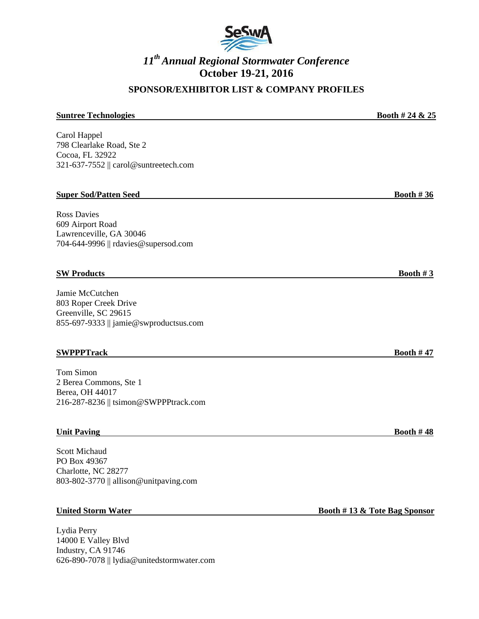

## **SPONSOR/EXHIBITOR LIST & COMPANY PROFILES**

# **Suntree Technologies Booth # 24 & 25** Carol Happel 798 Clearlake Road, Ste 2 Cocoa, FL 32922 321-637-7552 || carol@suntreetech.com **Super Sod/Patten Seed <b>Booth # 36** Ross Davies 609 Airport Road Lawrenceville, GA 30046 704-644-9996 || rdavies@supersod.com **SW Products Booth # 3** Jamie McCutchen 803 Roper Creek Drive Greenville, SC 29615 855-697-9333 || jamie@swproductsus.com

### **SWPPPTrack Booth # 47**

Tom Simon 2 Berea Commons, Ste 1 Berea, OH 44017 216-287-8236 || tsimon@SWPPPtrack.com

#### **Unit Paving Booth # 48**

Scott Michaud PO Box 49367 Charlotte, NC 28277 803-802-3770 || allison@unitpaving.com

Lydia Perry 14000 E Valley Blvd Industry, CA 91746 626-890-7078 || lydia@unitedstormwater.com

**United Storm Water Booth # 13 & Tote Bag Sponsor**